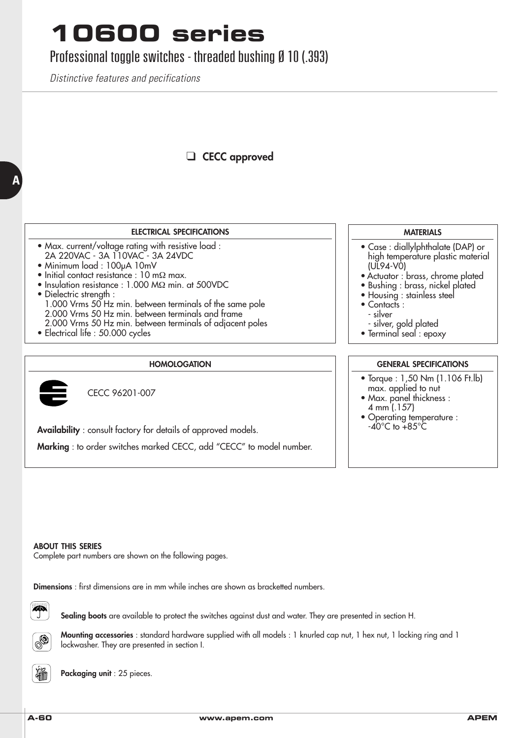## **10600 series**

### Professional toggle switches - threaded bushing Ø 10 (.393)

*Distinctive features and pecifications*

### ❑ **CECC approved**

#### **ELECTRICAL SPECIFICATIONS**

- Max. current/voltage rating with resistive load : 2A 220VAC - 3A 110VAC - 3A 24VDC
- Minimum load : 100µA 10mV
- Initial contact resistance : 10 mΩ max.
- Insulation resistance : 1.000 MΩ min. at 500VDC
- Dielectric strength : 1.000 Vrms 50 Hz min. between terminals of the same pole 2.000 Vrms 50 Hz min. between terminals and frame 2.000 Vrms 50 Hz min. between terminals of adjacent poles
- Electrical life : 50.000 cycles

#### **HOMOLOGATION**



**A**

CECC 96201-007

**Availability** : consult factory for details of approved models.

**Marking** : to order switches marked CECC, add "CECC" to model number.

#### **MATERIALS**

- Case : diallylphthalate (DAP) or high temperature plastic material (UL94-V0)
- Actuator : brass, chrome plated
- Bushing : brass, nickel plated
- Housing : stainless steel
- Contacts :
- silver
- silver, gold plated
- Terminal seal : epoxy

#### **GENERAL SPECIFICATIONS**

- Torque : 1,50 Nm (1.106 Ft.lb) max. applied to nut
- Max. panel thickness : 4 mm (.157)
- Operating temperature :  $-40^{\circ}$ C to  $+85^{\circ}$ C

#### **ABOUT THIS SERIES**

Complete part numbers are shown on the following pages.

**Dimensions** : first dimensions are in mm while inches are shown as bracketted numbers.

F

**Sealing boots** are available to protect the switches against dust and water. They are presented in section H.



**Mounting accessories** : standard hardware supplied with all models : 1 knurled cap nut, 1 hex nut, 1 locking ring and 1 lockwasher. They are presented in section I.



**Packaging unit** : 25 pieces.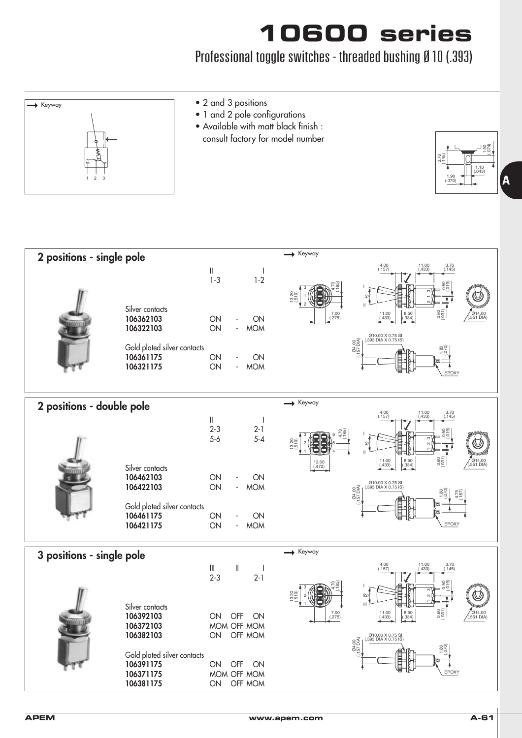## **10600 series**

### Professional toggle switches - threaded bushing Ø 10 (.393)



| 2 positions - single pole |                                                                                                                              | Keyway                                                                                                                                                                                                                                                                                                                                                                                                                                                                                                                                  |
|---------------------------|------------------------------------------------------------------------------------------------------------------------------|-----------------------------------------------------------------------------------------------------------------------------------------------------------------------------------------------------------------------------------------------------------------------------------------------------------------------------------------------------------------------------------------------------------------------------------------------------------------------------------------------------------------------------------------|
|                           | Silver contacts<br>106362103<br>106322103<br>Gold plated silver contacts<br>106361175<br>106321175                           | $4.00$<br>(.157)<br>$11.00$<br>$(.433)$<br>$3.70$<br>(.145)<br>$\parallel$<br>$1 - 3$<br>$1 - 2$<br>$0.50$<br>$0.19$<br>$13.20$<br>$-519$<br>$\mathbf{I}$<br>(0.80)<br>$\begin{array}{c} 8.50 \\ (-334) \end{array}$<br>$7.00$<br>(.275)<br>$\begin{array}{c} 11.00 \\ (0.433) \end{array}$<br>∕ Ø14.00<br>∴551 DIA)<br>ON<br>ON<br>ON<br><b>MOM</b><br>Ø10.00 X 0.75 SI<br>(.393 DIA X 0.75 IS)<br>04.00<br>157 DIA)<br>ON<br>ON<br>ON<br><b>MOM</b><br>EPOXY                                                                          |
| 2 positions - double pole |                                                                                                                              | Keyway                                                                                                                                                                                                                                                                                                                                                                                                                                                                                                                                  |
|                           | Silver contacts<br>106462103<br>106422103<br>Gold plated silver contacts<br>106461175<br>106421175                           | $4.00$<br>(.157)<br>$11.00$<br>$(.433)$<br>$3.70$<br>(.145)<br>Ш<br>$2 - 3$<br>$2 - 1$<br>56<br>68<br>$5 - 4$<br>$5 - 6$<br>$\frac{13.20}{519}$<br>$\mathbf{H}$<br>(0.80)<br>$8.50$<br>$(.334)$<br>7014.00<br>(.551 DIA)<br>$11.00$<br>$(.433)$<br>$12.00$<br>(.472)<br>ON<br>ON<br>Ø10.00 X 0.75 SI<br>(393 DIA X 0.75 IS)<br>ON<br><b>MOM</b><br>$rac{60}{100}$<br>$rac{26}{9}$<br>$\frac{84}{157}$<br>ON<br>ON<br>EPOXY<br>ON<br><b>MOM</b>                                                                                          |
| 3 positions - single pole |                                                                                                                              | $\blacktriangleright$ Keyway                                                                                                                                                                                                                                                                                                                                                                                                                                                                                                            |
|                           | Silver contacts<br>106392103<br>106372103<br>106382103<br>Gold plated silver contacts<br>106391175<br>106371175<br>106381175 | $4.00$<br>(.157)<br>$11.00$<br>$(.433)$<br>$3.70$<br>(.145)<br>$\ensuremath{\mathsf{III}}\xspace$<br>$\ $<br>J.<br>$2 - 3$<br>$2-1$<br>င္တစ္ခ<br>(3.20)<br>II24<br>$\mathbf{H}$<br>(0.80)<br>$7.00$<br>(.275)<br>$11.00$<br>$(.433)$<br>$\begin{array}{c} 8.50 \\ (-334) \end{array}$<br>/ Ø14.00<br>(.551 DIA)<br>OFF<br>ON<br>ON<br>MOM OFF MOM<br>OFF MOM<br>ON<br>Ø10.00 X 0.75 SI<br>(.393 DIA X 0.75 IS)<br>$\frac{8}{20}$<br>$\frac{1,80}{0,70}$<br>$\frac{84}{157}$<br>OFF<br>ON<br>ON<br>EPOXY<br>MOM OFF MOM<br>ON<br>OFF MOM |